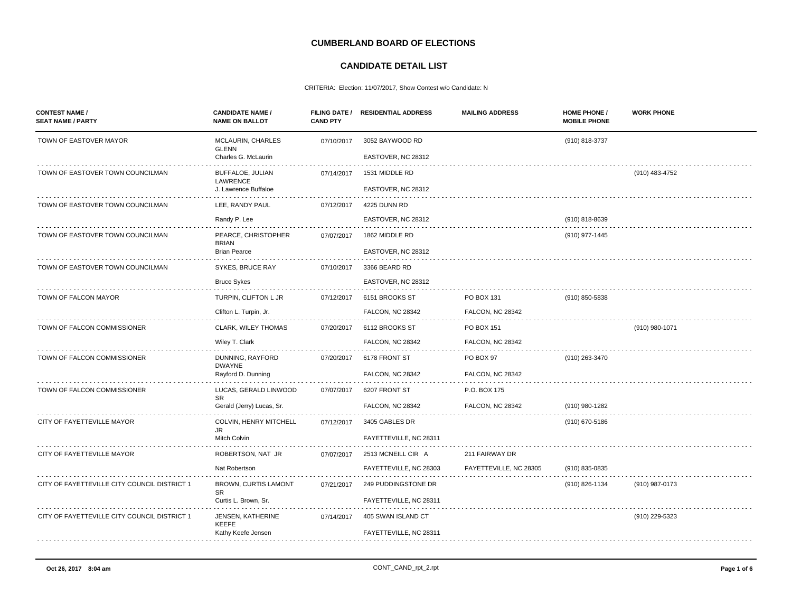## **CUMBERLAND BOARD OF ELECTIONS**

## **CANDIDATE DETAIL LIST**

## CRITERIA: Election: 11/07/2017, Show Contest w/o Candidate: N

|                                              |                                     | <b>CAND PTY</b> |                         |                         | <b>MOBILE PHONE</b> |                |
|----------------------------------------------|-------------------------------------|-----------------|-------------------------|-------------------------|---------------------|----------------|
| TOWN OF EASTOVER MAYOR                       | MCLAURIN, CHARLES<br><b>GLENN</b>   | 07/10/2017      | 3052 BAYWOOD RD         |                         | (910) 818-3737      |                |
|                                              | Charles G. McLaurin                 |                 | EASTOVER, NC 28312      |                         |                     |                |
| TOWN OF EASTOVER TOWN COUNCILMAN             | BUFFALOE, JULIAN<br>LAWRENCE        | 07/14/2017      | 1531 MIDDLE RD          |                         |                     | (910) 483-4752 |
|                                              | J. Lawrence Buffaloe                |                 | EASTOVER, NC 28312      |                         |                     |                |
| TOWN OF EASTOVER TOWN COUNCILMAN             | LEE, RANDY PAUL                     | 07/12/2017      | 4225 DUNN RD            |                         |                     |                |
|                                              | Randy P. Lee                        |                 | EASTOVER, NC 28312      |                         | (910) 818-8639      |                |
| TOWN OF EASTOVER TOWN COUNCILMAN             | PEARCE, CHRISTOPHER<br><b>BRIAN</b> | 07/07/2017      | 1862 MIDDLE RD          |                         | (910) 977-1445      |                |
|                                              | <b>Brian Pearce</b>                 |                 | EASTOVER, NC 28312      |                         |                     |                |
| TOWN OF EASTOVER TOWN COUNCILMAN             | SYKES, BRUCE RAY                    | 07/10/2017      | 3366 BEARD RD           |                         |                     |                |
|                                              | <b>Bruce Sykes</b>                  |                 | EASTOVER, NC 28312      |                         |                     |                |
| TOWN OF FALCON MAYOR                         | TURPIN, CLIFTON L JR                | 07/12/2017      | 6151 BROOKS ST          | PO BOX 131              | (910) 850-5838      |                |
|                                              | Clifton L. Turpin, Jr.              |                 | <b>FALCON, NC 28342</b> | <b>FALCON, NC 28342</b> |                     |                |
| TOWN OF FALCON COMMISSIONER                  | <b>CLARK, WILEY THOMAS</b>          | 07/20/2017      | 6112 BROOKS ST          | PO BOX 151              |                     | (910) 980-1071 |
|                                              | Wiley T. Clark                      |                 | <b>FALCON, NC 28342</b> | <b>FALCON, NC 28342</b> |                     |                |
| TOWN OF FALCON COMMISSIONER                  | DUNNING, RAYFORD<br><b>DWAYNE</b>   | 07/20/2017      | 6178 FRONT ST           | PO BOX 97               | (910) 263-3470      |                |
|                                              | Rayford D. Dunning                  |                 | FALCON, NC 28342        | FALCON, NC 28342        |                     |                |
| TOWN OF FALCON COMMISSIONER                  | LUCAS, GERALD LINWOOD<br><b>SR</b>  | 07/07/2017      | 6207 FRONT ST           | P.O. BOX 175            |                     |                |
|                                              | Gerald (Jerry) Lucas, Sr.           |                 | <b>FALCON, NC 28342</b> | <b>FALCON, NC 28342</b> | (910) 980-1282      |                |
| CITY OF FAYETTEVILLE MAYOR                   | COLVIN, HENRY MITCHELL<br>JR.       | 07/12/2017      | 3405 GABLES DR          |                         | (910) 670-5186      |                |
|                                              | Mitch Colvin                        |                 | FAYETTEVILLE, NC 28311  |                         |                     |                |
| CITY OF FAYETTEVILLE MAYOR                   | ROBERTSON, NAT JR                   | 07/07/2017      | 2513 MCNEILL CIR A      | 211 FAIRWAY DR          |                     |                |
|                                              | Nat Robertson                       |                 | FAYETTEVILLE, NC 28303  | FAYETTEVILLE, NC 28305  | (910) 835-0835      |                |
| CITY OF FAYETTEVILLE CITY COUNCIL DISTRICT 1 | BROWN, CURTIS LAMONT<br><b>SR</b>   | 07/21/2017      | 249 PUDDINGSTONE DR     |                         | (910) 826-1134      | (910) 987-0173 |
|                                              | Curtis L. Brown, Sr.                |                 | FAYETTEVILLE, NC 28311  |                         |                     |                |
| CITY OF FAYETTEVILLE CITY COUNCIL DISTRICT 1 | JENSEN, KATHERINE<br>KEEFE          | 07/14/2017      | 405 SWAN ISLAND CT      |                         |                     | (910) 229-5323 |
|                                              | Kathy Keefe Jensen                  |                 | FAYETTEVILLE, NC 28311  |                         |                     |                |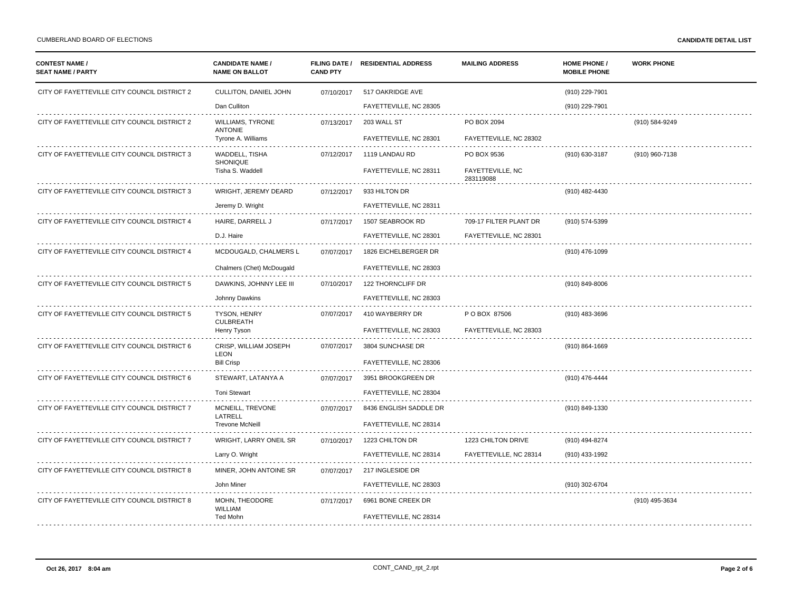| <b>CONTEST NAME /</b><br><b>SEAT NAME / PARTY</b> | <b>CANDIDATE NAME /</b><br><b>NAME ON BALLOT</b> | <b>CAND PTY</b> | FILING DATE / RESIDENTIAL ADDRESS | <b>MAILING ADDRESS</b>        | <b>HOME PHONE /</b><br><b>MOBILE PHONE</b> | <b>WORK PHONE</b> |
|---------------------------------------------------|--------------------------------------------------|-----------------|-----------------------------------|-------------------------------|--------------------------------------------|-------------------|
| CITY OF FAYETTEVILLE CITY COUNCIL DISTRICT 2      | CULLITON, DANIEL JOHN                            | 07/10/2017      | 517 OAKRIDGE AVE                  |                               | (910) 229-7901                             |                   |
|                                                   | Dan Culliton                                     |                 | FAYETTEVILLE, NC 28305            |                               | (910) 229-7901                             |                   |
| CITY OF FAYETTEVILLE CITY COUNCIL DISTRICT 2      | <b>WILLIAMS, TYRONE</b><br><b>ANTONIE</b>        | 07/13/2017      | 203 WALL ST                       | PO BOX 2094                   |                                            | (910) 584-9249    |
|                                                   | Tyrone A. Williams                               |                 | FAYETTEVILLE, NC 28301            | FAYETTEVILLE, NC 28302        |                                            |                   |
| CITY OF FAYETTEVILLE CITY COUNCIL DISTRICT 3      | WADDELL, TISHA<br>SHONIQUE                       | 07/12/2017      | 1119 LANDAU RD                    | PO BOX 9536                   | (910) 630-3187                             | (910) 960-7138    |
|                                                   | Tisha S. Waddell                                 |                 | FAYETTEVILLE, NC 28311            | FAYETTEVILLE, NC<br>283119088 |                                            |                   |
| CITY OF FAYETTEVILLE CITY COUNCIL DISTRICT 3      | WRIGHT, JEREMY DEARD                             | 07/12/2017      | 933 HILTON DR                     |                               | (910) 482-4430                             |                   |
|                                                   | Jeremy D. Wright                                 |                 | FAYETTEVILLE, NC 28311            |                               |                                            |                   |
| CITY OF FAYETTEVILLE CITY COUNCIL DISTRICT 4      | HAIRE, DARRELL J                                 | 07/17/2017      | 1507 SEABROOK RD                  | 709-17 FILTER PLANT DR        | (910) 574-5399                             |                   |
|                                                   | D.J. Haire                                       |                 | FAYETTEVILLE, NC 28301            | FAYETTEVILLE, NC 28301        |                                            |                   |
| CITY OF FAYETTEVILLE CITY COUNCIL DISTRICT 4      | MCDOUGALD, CHALMERS L                            | 07/07/2017      | 1826 EICHELBERGER DR              |                               | (910) 476-1099                             |                   |
|                                                   | Chalmers (Chet) McDougald                        |                 | FAYETTEVILLE, NC 28303            |                               |                                            |                   |
| CITY OF FAYETTEVILLE CITY COUNCIL DISTRICT 5      | DAWKINS, JOHNNY LEE III                          | 07/10/2017      | 122 THORNCLIFF DR                 |                               | (910) 849-8006                             |                   |
|                                                   | Johnny Dawkins                                   |                 | FAYETTEVILLE, NC 28303            |                               |                                            |                   |
| CITY OF FAYETTEVILLE CITY COUNCIL DISTRICT 5      | <b>TYSON, HENRY</b><br><b>CULBREATH</b>          | 07/07/2017      | 410 WAYBERRY DR                   | P O BOX 87506                 | (910) 483-3696                             |                   |
|                                                   | Henry Tyson                                      |                 | FAYETTEVILLE, NC 28303            | FAYETTEVILLE, NC 28303        |                                            |                   |
| CITY OF FAYETTEVILLE CITY COUNCIL DISTRICT 6      | CRISP, WILLIAM JOSEPH<br><b>LEON</b>             | 07/07/2017      | 3804 SUNCHASE DR                  |                               | $(910) 864 - 1669$                         |                   |
|                                                   | <b>Bill Crisp</b>                                |                 | FAYETTEVILLE, NC 28306            |                               |                                            |                   |
| CITY OF FAYETTEVILLE CITY COUNCIL DISTRICT 6      | STEWART, LATANYA A                               | 07/07/2017      | 3951 BROOKGREEN DR                |                               | (910) 476-4444                             |                   |
|                                                   | <b>Toni Stewart</b>                              |                 | FAYETTEVILLE, NC 28304            |                               |                                            |                   |
| CITY OF FAYETTEVILLE CITY COUNCIL DISTRICT 7      | MCNEILL, TREVONE<br>LATRELL                      | 07/07/2017      | 8436 ENGLISH SADDLE DR            |                               | (910) 849-1330                             |                   |
|                                                   | <b>Trevone McNeill</b>                           |                 | FAYETTEVILLE, NC 28314            |                               |                                            |                   |
| CITY OF FAYETTEVILLE CITY COUNCIL DISTRICT 7      | WRIGHT, LARRY ONEIL SR                           | 07/10/2017      | 1223 CHILTON DR                   | 1223 CHILTON DRIVE            | (910) 494-8274                             |                   |
|                                                   | Larry O. Wright                                  |                 | FAYETTEVILLE, NC 28314            | FAYETTEVILLE, NC 28314        | (910) 433-1992                             |                   |
| CITY OF FAYETTEVILLE CITY COUNCIL DISTRICT 8      | MINER, JOHN ANTOINE SR                           | 07/07/2017      | 217 INGLESIDE DR                  |                               |                                            |                   |
|                                                   | John Miner                                       |                 | FAYETTEVILLE, NC 28303            |                               | (910) 302-6704                             |                   |
| CITY OF FAYETTEVILLE CITY COUNCIL DISTRICT 8      | MOHN, THEODORE<br><b>WILLIAM</b>                 | 07/17/2017      | 6961 BONE CREEK DR                |                               |                                            | (910) 495-3634    |
|                                                   | Ted Mohn                                         |                 | FAYETTEVILLE, NC 28314            |                               |                                            |                   |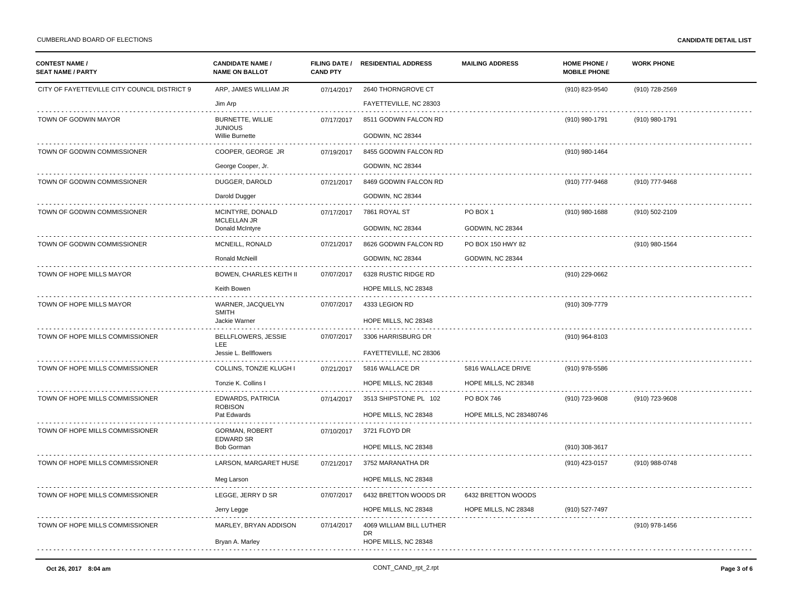| <b>CONTEST NAME /</b><br><b>SEAT NAME / PARTY</b> | <b>CANDIDATE NAME /</b><br><b>NAME ON BALLOT</b> | <b>CAND PTY</b> | FILING DATE / RESIDENTIAL ADDRESS | <b>MAILING ADDRESS</b>   | <b>HOME PHONE /</b><br><b>MOBILE PHONE</b> | <b>WORK PHONE</b> |
|---------------------------------------------------|--------------------------------------------------|-----------------|-----------------------------------|--------------------------|--------------------------------------------|-------------------|
| CITY OF FAYETTEVILLE CITY COUNCIL DISTRICT 9      | ARP, JAMES WILLIAM JR                            | 07/14/2017      | 2640 THORNGROVE CT                |                          | (910) 823-9540                             | (910) 728-2569    |
|                                                   | Jim Arp                                          |                 | FAYETTEVILLE, NC 28303            |                          |                                            |                   |
| TOWN OF GODWIN MAYOR                              | <b>BURNETTE, WILLIE</b><br><b>JUNIOUS</b>        | 07/17/2017      | 8511 GODWIN FALCON RD             |                          | (910) 980-1791                             | (910) 980-1791    |
|                                                   | Willie Burnette                                  |                 | GODWIN, NC 28344                  |                          |                                            |                   |
| TOWN OF GODWIN COMMISSIONER                       | COOPER, GEORGE JR                                | 07/19/2017      | 8455 GODWIN FALCON RD             |                          | (910) 980-1464                             |                   |
|                                                   | George Cooper, Jr.                               |                 | GODWIN, NC 28344                  |                          |                                            |                   |
| TOWN OF GODWIN COMMISSIONER                       | DUGGER, DAROLD                                   | 07/21/2017      | 8469 GODWIN FALCON RD             |                          | (910) 777-9468                             | (910) 777-9468    |
|                                                   | Darold Dugger                                    |                 | GODWIN, NC 28344                  |                          |                                            |                   |
| TOWN OF GODWIN COMMISSIONER                       | MCINTYRE, DONALD                                 | 07/17/2017      | 7861 ROYAL ST                     | PO BOX 1                 | (910) 980-1688                             | (910) 502-2109    |
|                                                   | MCLELLAN JR<br>Donald McIntyre                   |                 | <b>GODWIN, NC 28344</b>           | <b>GODWIN, NC 28344</b>  |                                            |                   |
| TOWN OF GODWIN COMMISSIONER                       | MCNEILL, RONALD                                  | 07/21/2017      | 8626 GODWIN FALCON RD             | PO BOX 150 HWY 82        |                                            | (910) 980-1564    |
|                                                   | Ronald McNeill                                   |                 | GODWIN, NC 28344                  | GODWIN, NC 28344         |                                            |                   |
| TOWN OF HOPE MILLS MAYOR                          | BOWEN, CHARLES KEITH II                          | 07/07/2017      | 6328 RUSTIC RIDGE RD              |                          | (910) 229-0662                             |                   |
|                                                   | Keith Bowen                                      |                 | HOPE MILLS, NC 28348              |                          |                                            |                   |
| TOWN OF HOPE MILLS MAYOR                          | WARNER, JACQUELYN<br><b>SMITH</b>                | 07/07/2017      | 4333 LEGION RD                    |                          | (910) 309-7779                             |                   |
|                                                   | Jackie Warner                                    |                 | HOPE MILLS, NC 28348              |                          |                                            |                   |
| TOWN OF HOPE MILLS COMMISSIONER                   | BELLFLOWERS, JESSIE<br><b>LEE</b>                | 07/07/2017      | 3306 HARRISBURG DR                |                          | (910) 964-8103                             |                   |
|                                                   | Jessie L. Bellflowers                            |                 | FAYETTEVILLE, NC 28306            |                          |                                            |                   |
| TOWN OF HOPE MILLS COMMISSIONER                   | COLLINS, TONZIE KLUGH                            | 07/21/2017      | 5816 WALLACE DR                   | 5816 WALLACE DRIVE       | (910) 978-5586                             |                   |
|                                                   | Tonzie K. Collins I                              |                 | HOPE MILLS, NC 28348              | HOPE MILLS, NC 28348     |                                            |                   |
| TOWN OF HOPE MILLS COMMISSIONER                   | <b>EDWARDS, PATRICIA</b><br><b>ROBISON</b>       | 07/14/2017      | 3513 SHIPSTONE PL 102             | PO BOX 746               | (910) 723-9608                             | (910) 723-9608    |
|                                                   | Pat Edwards                                      |                 | HOPE MILLS, NC 28348              | HOPE MILLS, NC 283480746 |                                            |                   |
| TOWN OF HOPE MILLS COMMISSIONER                   | GORMAN, ROBERT<br><b>EDWARD SR</b>               | 07/10/2017      | 3721 FLOYD DR                     |                          |                                            |                   |
|                                                   | <b>Bob Gorman</b>                                |                 | HOPE MILLS, NC 28348              |                          | (910) 308-3617                             |                   |
| TOWN OF HOPE MILLS COMMISSIONER                   | LARSON, MARGARET HUSE                            | 07/21/2017      | 3752 MARANATHA DR                 |                          | (910) 423-0157                             | (910) 988-0748    |
|                                                   | Meg Larson                                       |                 | HOPE MILLS, NC 28348              |                          |                                            |                   |
| TOWN OF HOPE MILLS COMMISSIONER                   | LEGGE, JERRY D SR                                | 07/07/2017      | 6432 BRETTON WOODS DR             | 6432 BRETTON WOODS       |                                            |                   |
|                                                   | Jerry Legge                                      |                 | HOPE MILLS, NC 28348              | HOPE MILLS, NC 28348     | (910) 527-7497                             |                   |
| TOWN OF HOPE MILLS COMMISSIONER                   | MARLEY, BRYAN ADDISON                            | 07/14/2017      | 4069 WILLIAM BILL LUTHER<br>DR.   |                          |                                            | (910) 978-1456    |
|                                                   | Bryan A. Marley                                  |                 | HOPE MILLS, NC 28348              |                          |                                            |                   |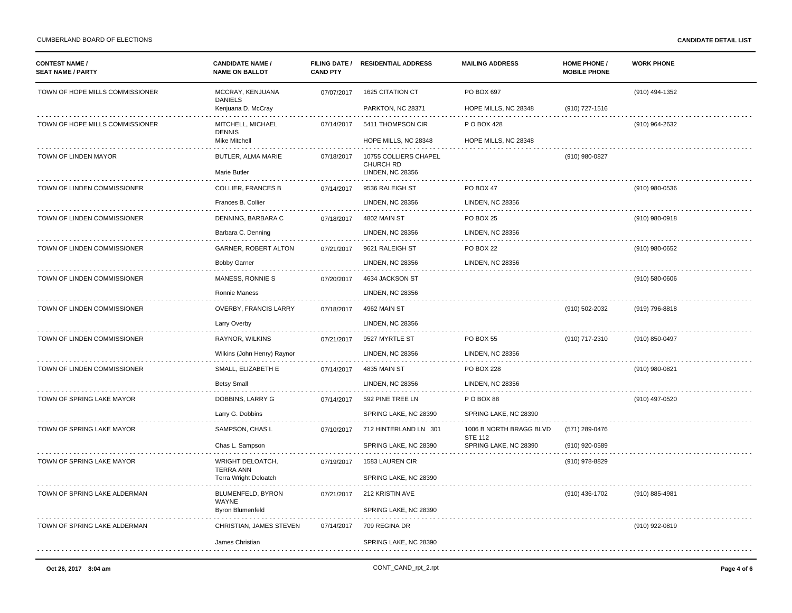| <b>CONTEST NAME /</b><br><b>SEAT NAME / PARTY</b> | <b>CANDIDATE NAME /</b><br><b>NAME ON BALLOT</b> | <b>CAND PTY</b> | FILING DATE / RESIDENTIAL ADDRESS                                    | <b>MAILING ADDRESS</b>                    | <b>HOME PHONE /</b><br><b>MOBILE PHONE</b> | <b>WORK PHONE</b> |
|---------------------------------------------------|--------------------------------------------------|-----------------|----------------------------------------------------------------------|-------------------------------------------|--------------------------------------------|-------------------|
| TOWN OF HOPE MILLS COMMISSIONER                   | MCCRAY, KENJUANA<br><b>DANIELS</b>               | 07/07/2017      | 1625 CITATION CT                                                     | PO BOX 697                                |                                            | (910) 494-1352    |
|                                                   | Kenjuana D. McCray                               |                 | PARKTON, NC 28371                                                    | HOPE MILLS, NC 28348                      | (910) 727-1516                             |                   |
| TOWN OF HOPE MILLS COMMISSIONER                   | MITCHELL, MICHAEL<br><b>DENNIS</b>               | 07/14/2017      | 5411 THOMPSON CIR                                                    | P O BOX 428                               |                                            | (910) 964-2632    |
|                                                   | Mike Mitchell                                    |                 | HOPE MILLS, NC 28348                                                 | HOPE MILLS, NC 28348                      |                                            |                   |
| TOWN OF LINDEN MAYOR                              | BUTLER, ALMA MARIE<br>Marie Butler               | 07/18/2017      | 10755 COLLIERS CHAPEL<br><b>CHURCH RD</b><br><b>LINDEN, NC 28356</b> |                                           | (910) 980-0827                             |                   |
|                                                   |                                                  |                 |                                                                      |                                           |                                            |                   |
| TOWN OF LINDEN COMMISSIONER                       | <b>COLLIER, FRANCES B</b>                        | 07/14/2017      | 9536 RALEIGH ST                                                      | PO BOX 47                                 |                                            | (910) 980-0536    |
|                                                   | Frances B. Collier                               |                 | <b>LINDEN, NC 28356</b>                                              | LINDEN, NC 28356                          |                                            |                   |
| TOWN OF LINDEN COMMISSIONER                       | DENNING, BARBARA C                               | 07/18/2017      | 4802 MAIN ST                                                         | PO BOX 25                                 |                                            | (910) 980-0918    |
|                                                   | Barbara C. Denning                               |                 | <b>LINDEN, NC 28356</b>                                              | <b>LINDEN, NC 28356</b>                   |                                            |                   |
| TOWN OF LINDEN COMMISSIONER                       | GARNER, ROBERT ALTON                             | 07/21/2017      | 9621 RALEIGH ST                                                      | PO BOX 22                                 |                                            | (910) 980-0652    |
|                                                   | <b>Bobby Garner</b>                              |                 | LINDEN, NC 28356                                                     | <b>LINDEN, NC 28356</b>                   |                                            |                   |
| TOWN OF LINDEN COMMISSIONER                       | MANESS, RONNIE S                                 | 07/20/2017      | 4634 JACKSON ST                                                      |                                           |                                            | (910) 580-0606    |
|                                                   | Ronnie Maness                                    |                 | <b>LINDEN, NC 28356</b>                                              |                                           |                                            |                   |
| TOWN OF LINDEN COMMISSIONER                       | OVERBY, FRANCIS LARRY                            | 07/18/2017      | 4962 MAIN ST                                                         |                                           | (910) 502-2032                             | (919) 796-8818    |
|                                                   | Larry Overby                                     |                 | <b>LINDEN, NC 28356</b>                                              |                                           |                                            |                   |
| TOWN OF LINDEN COMMISSIONER                       | RAYNOR, WILKINS                                  | 07/21/2017      | 9527 MYRTLE ST                                                       | <b>PO BOX 55</b>                          | (910) 717-2310                             | (910) 850-0497    |
|                                                   | Wilkins (John Henry) Raynor                      |                 | <b>LINDEN, NC 28356</b>                                              | <b>LINDEN, NC 28356</b>                   |                                            |                   |
| TOWN OF LINDEN COMMISSIONER                       | SMALL, ELIZABETH E                               | 07/14/2017      | 4835 MAIN ST                                                         | <b>PO BOX 228</b>                         |                                            | (910) 980-0821    |
|                                                   | <b>Betsy Small</b>                               |                 | <b>LINDEN, NC 28356</b>                                              | <b>LINDEN, NC 28356</b>                   |                                            |                   |
| TOWN OF SPRING LAKE MAYOR                         | DOBBINS, LARRY G                                 | 07/14/2017      | 592 PINE TREE LN                                                     | P O BOX 88                                |                                            | (910) 497-0520    |
|                                                   | Larry G. Dobbins                                 |                 | SPRING LAKE, NC 28390                                                | SPRING LAKE, NC 28390                     |                                            |                   |
| TOWN OF SPRING LAKE MAYOR                         | SAMPSON, CHAS L                                  | 07/10/2017      | 712 HINTERLAND LN 301                                                | 1006 B NORTH BRAGG BLVD<br><b>STE 112</b> | (571) 289-0476                             |                   |
|                                                   | Chas L. Sampson                                  |                 | SPRING LAKE, NC 28390                                                | SPRING LAKE, NC 28390                     | (910) 920-0589                             |                   |
| TOWN OF SPRING LAKE MAYOR                         | <b>WRIGHT DELOATCH</b><br><b>TERRA ANN</b>       | 07/19/2017      | 1583 LAUREN CIR                                                      |                                           | (910) 978-8829                             |                   |
|                                                   | Terra Wright Deloatch                            |                 | SPRING LAKE, NC 28390                                                |                                           |                                            |                   |
| TOWN OF SPRING LAKE ALDERMAN                      | BLUMENFELD, BYRON<br>WAYNE                       | 07/21/2017      | 212 KRISTIN AVE                                                      |                                           | (910) 436-1702                             | (910) 885-4981    |
|                                                   | <b>Byron Blumenfeld</b>                          |                 | SPRING LAKE, NC 28390                                                |                                           |                                            |                   |
| TOWN OF SPRING LAKE ALDERMAN                      | CHRISTIAN, JAMES STEVEN                          | 07/14/2017      | 709 REGINA DR                                                        |                                           |                                            | (910) 922-0819    |
|                                                   | James Christian                                  |                 | SPRING LAKE, NC 28390                                                |                                           |                                            |                   |
|                                                   |                                                  |                 |                                                                      |                                           |                                            |                   |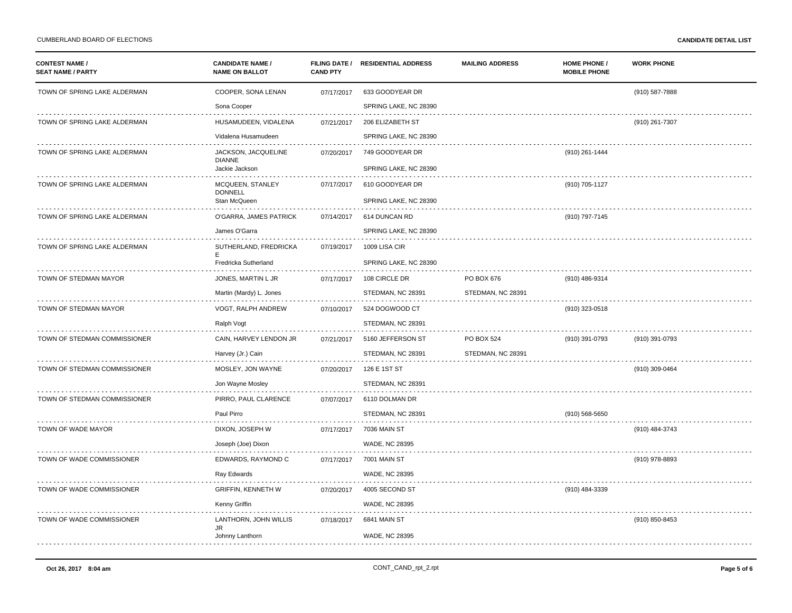| <b>CONTEST NAME /</b><br><b>SEAT NAME / PARTY</b> | <b>CANDIDATE NAME /</b><br><b>NAME ON BALLOT</b> | <b>CAND PTY</b> | FILING DATE / RESIDENTIAL ADDRESS | <b>MAILING ADDRESS</b> | <b>HOME PHONE /</b><br><b>MOBILE PHONE</b> | <b>WORK PHONE</b> |
|---------------------------------------------------|--------------------------------------------------|-----------------|-----------------------------------|------------------------|--------------------------------------------|-------------------|
| TOWN OF SPRING LAKE ALDERMAN                      | COOPER, SONA LENAN                               | 07/17/2017      | 633 GOODYEAR DR                   |                        |                                            | (910) 587-7888    |
|                                                   | Sona Cooper                                      |                 | SPRING LAKE, NC 28390             |                        |                                            |                   |
| TOWN OF SPRING LAKE ALDERMAN                      | HUSAMUDEEN, VIDALENA                             | 07/21/2017      | 206 ELIZABETH ST                  |                        |                                            | (910) 261-7307    |
|                                                   | Vidalena Husamudeen                              |                 | SPRING LAKE, NC 28390             |                        |                                            |                   |
| TOWN OF SPRING LAKE ALDERMAN                      | JACKSON, JACQUELINE<br><b>DIANNE</b>             | 07/20/2017      | 749 GOODYEAR DR                   |                        | (910) 261-1444                             |                   |
|                                                   | Jackie Jackson                                   |                 | SPRING LAKE, NC 28390             |                        |                                            |                   |
| TOWN OF SPRING LAKE ALDERMAN                      | MCQUEEN, STANLEY<br><b>DONNELL</b>               | 07/17/2017      | 610 GOODYEAR DR                   |                        | (910) 705-1127                             |                   |
|                                                   | Stan McQueen                                     |                 | SPRING LAKE, NC 28390             |                        |                                            |                   |
| TOWN OF SPRING LAKE ALDERMAN                      | O'GARRA, JAMES PATRICK                           | 07/14/2017      | 614 DUNCAN RD                     |                        | (910) 797-7145                             |                   |
|                                                   | James O'Garra                                    |                 | SPRING LAKE, NC 28390             |                        |                                            |                   |
| TOWN OF SPRING LAKE ALDERMAN                      | SUTHERLAND, FREDRICKA<br>E                       | 07/19/2017      | 1009 LISA CIR                     |                        |                                            |                   |
|                                                   | Fredricka Sutherland                             |                 | SPRING LAKE, NC 28390             |                        |                                            |                   |
| TOWN OF STEDMAN MAYOR                             | JONES, MARTIN L JR                               | 07/17/2017      | 108 CIRCLE DR                     | PO BOX 676             | (910) 486-9314                             |                   |
|                                                   | Martin (Mardy) L. Jones                          |                 | STEDMAN, NC 28391                 | STEDMAN, NC 28391      |                                            |                   |
| TOWN OF STEDMAN MAYOR                             | VOGT, RALPH ANDREW                               | 07/10/2017      | 524 DOGWOOD CT                    |                        | (910) 323-0518                             |                   |
|                                                   | Ralph Vogt                                       |                 | STEDMAN, NC 28391                 |                        |                                            |                   |
| TOWN OF STEDMAN COMMISSIONER                      | CAIN, HARVEY LENDON JR                           | 07/21/2017      | 5160 JEFFERSON ST                 | <b>PO BOX 524</b>      | (910) 391-0793                             | (910) 391-0793    |
|                                                   | Harvey (Jr.) Cain                                |                 | STEDMAN, NC 28391                 | STEDMAN, NC 28391      |                                            |                   |
| TOWN OF STEDMAN COMMISSIONER                      | MOSLEY, JON WAYNE                                | 07/20/2017      | 126 E 1ST ST                      |                        |                                            | (910) 309-0464    |
|                                                   | Jon Wayne Mosley                                 |                 | STEDMAN, NC 28391                 |                        |                                            |                   |
| TOWN OF STEDMAN COMMISSIONER                      | PIRRO, PAUL CLARENCE                             | 07/07/2017      | 6110 DOLMAN DR                    |                        |                                            |                   |
|                                                   | Paul Pirro                                       |                 | STEDMAN, NC 28391                 |                        | (910) 568-5650                             |                   |
| TOWN OF WADE MAYOR                                | DIXON, JOSEPH W                                  | 07/17/2017      | <b>7036 MAIN ST</b>               |                        |                                            | (910) 484-3743    |
|                                                   | Joseph (Joe) Dixon                               |                 | WADE, NC 28395                    |                        |                                            |                   |
| TOWN OF WADE COMMISSIONER                         | EDWARDS, RAYMOND C                               | 07/17/2017      | 7001 MAIN ST                      |                        |                                            | (910) 978-8893    |
|                                                   | Ray Edwards                                      |                 | <b>WADE, NC 28395</b>             |                        |                                            |                   |
| TOWN OF WADE COMMISSIONER                         | <b>GRIFFIN, KENNETH W</b>                        | 07/20/2017      | 4005 SECOND ST                    |                        | (910) 484-3339                             |                   |
|                                                   | Kenny Griffin                                    |                 | <b>WADE, NC 28395</b>             |                        |                                            |                   |
| TOWN OF WADE COMMISSIONER                         | LANTHORN, JOHN WILLIS<br>JR                      | 07/18/2017      | 6841 MAIN ST                      |                        |                                            | (910) 850-8453    |
|                                                   | Johnny Lanthorn                                  |                 | WADE, NC 28395                    |                        |                                            |                   |